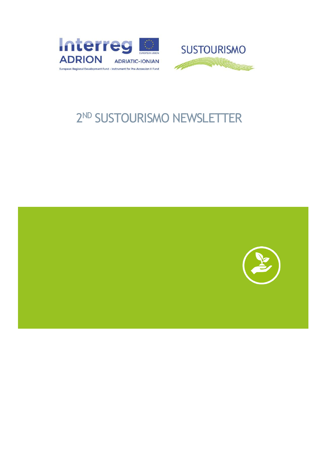



# ND SUSTOURISMO NEWSLETTER

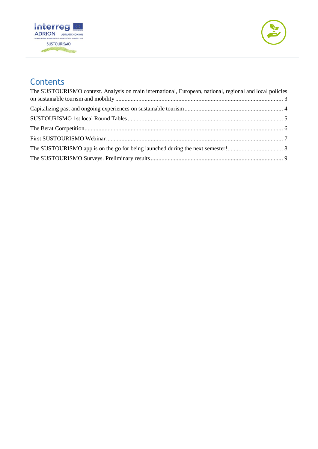



## **Contents**

| The SUSTOURISMO context. Analysis on main international, European, national, regional and local policies |  |
|----------------------------------------------------------------------------------------------------------|--|
|                                                                                                          |  |
|                                                                                                          |  |
|                                                                                                          |  |
|                                                                                                          |  |
|                                                                                                          |  |
|                                                                                                          |  |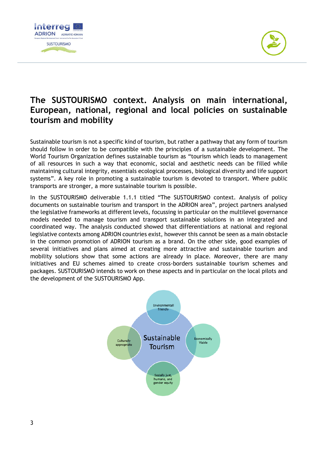



## <span id="page-2-0"></span>**The SUSTOURISMO context. Analysis on main international, European, national, regional and local policies on sustainable tourism and mobility**

Sustainable tourism is not a specific kind of tourism, but rather a pathway that any form of tourism should follow in order to be compatible with the principles of a sustainable development. The World Tourism Organization defines sustainable tourism as "tourism which leads to management of all resources in such a way that economic, social and aesthetic needs can be filled while maintaining cultural integrity, essentials ecological processes, biological diversity and life support systems". A key role in promoting a sustainable tourism is devoted to transport. Where public transports are stronger, a more sustainable tourism is possible.

In the SUSTOURISMO deliverable 1.1.1 titled "The SUSTOURISMO context. Analysis of policy documents on sustainable tourism and transport in the ADRION area", project partners analysed the legislative frameworks at different levels, focussing in particular on the multilevel governance models needed to manage tourism and transport sustainable solutions in an integrated and coordinated way. The analysis conducted showed that differentiations at national and regional legislative contexts among ADRION countries exist, however this cannot be seen as a main obstacle in the common promotion of ADRION tourism as a brand. On the other side, good examples of several initiatives and plans aimed at creating more attractive and sustainable tourism and mobility solutions show that some actions are already in place. Moreover, there are many initiatives and EU schemes aimed to create cross-borders sustainable tourism schemes and packages. SUSTOURISMO intends to work on these aspects and in particular on the local pilots and the development of the SUSTOURISMO App.

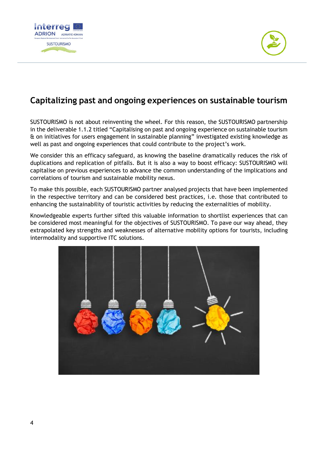



## <span id="page-3-0"></span>**Capitalizing past and ongoing experiences on sustainable tourism**

SUSTOURISMO is not about reinventing the wheel. For this reason, the SUSTOURISMO partnership in the deliverable 1.1.2 titled "Capitalising on past and ongoing experience on sustainable tourism & on initiatives for users engagement in sustainable planning" investigated existing knowledge as well as past and ongoing experiences that could contribute to the project's work.

We consider this an efficacy safeguard, as knowing the baseline dramatically reduces the risk of duplications and replication of pitfalls. But it is also a way to boost efficacy: SUSTOURISMO will capitalise on previous experiences to advance the common understanding of the implications and correlations of tourism and sustainable mobility nexus.

To make this possible, each SUSTOURISMO partner analysed projects that have been implemented in the respective territory and can be considered best practices, i.e. those that contributed to enhancing the sustainability of touristic activities by reducing the externalities of mobility.

Knowledgeable experts further sifted this valuable information to shortlist experiences that can be considered most meaningful for the objectives of SUSTOURISMO. To pave our way ahead, they extrapolated key strengths and weaknesses of alternative mobility options for tourists, including intermodality and supportive ITC solutions.

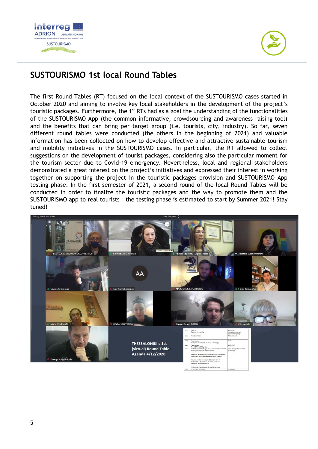



## <span id="page-4-0"></span>**SUSTOURISMO 1st local Round Tables**

The first Round Tables (RT) focused on the local context of the SUSTOURISMO cases started in October 2020 and aiming to involve key local stakeholders in the development of the project's touristic packages. Furthermore, the 1<sup>st</sup> RTs had as a goal the understanding of the functionalities of the SUSTOURISMO App (the common informative, crowdsourcing and awareness raising tool) and the benefits that can bring per target group (i.e. tourists, city, industry). So far, seven different round tables were conducted (the others in the beginning of 2021) and valuable information has been collected on how to develop effective and attractive sustainable tourism and mobility initiatives in the SUSTOURISMO cases. In particular, the RT allowed to collect suggestions on the development of tourist packages, considering also the particular moment for the tourism sector due to Covid-19 emergency. Nevertheless, local and regional stakeholders demonstrated a great interest on the project's initiatives and expressed their interest in working together on supporting the project in the touristic packages provision and SUSTOURISMO App testing phase. In the first semester of 2021, a second round of the local Round Tables will be conducted in order to finalize the touristic packages and the way to promote them and the SUSTOURISMO app to real tourists – the testing phase is estimated to start by Summer 2021! Stay tuned!

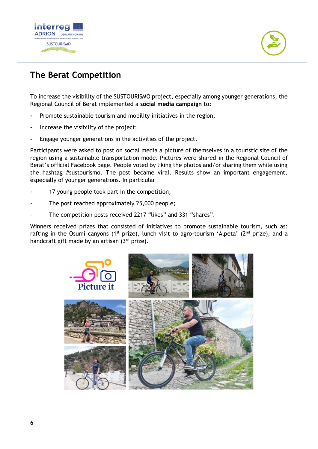

## <span id="page-5-0"></span>**The Berat Competition**

To increase the visibility of the SUSTOURISMO project, especially among younger generations, the Regional Council of Berat implemented a **social media campaign** to**:**

- **-** Promote sustainable tourism and mobility initiatives in the region;
- **-** Increase the visibility of the project;
- **-** Engage younger generations in the activities of the project.

Participants were asked to post on social media a picture of themselves in a touristic site of the region using a sustainable transportation mode. Pictures were shared in the Regional Council of Berat's official Facebook page. People voted by liking the photos and/or sharing them while using the hashtag #sustourismo. The post became viral. Results show an important engagement, especially of younger generations. In particular

- 17 young people took part in the competition;
- The post reached approximately 25,000 people;
- The competition posts received 2217 "likes" and 331 "shares".

Winners received prizes that consisted of initiatives to promote sustainable tourism, such as: rafting in the Osumi canyons (1<sup>st</sup> prize), lunch visit to agro-tourism 'Alpeta' (2<sup>nd</sup> prize), and a handcraft gift made by an artisan  $(3<sup>rd</sup>$  prize).

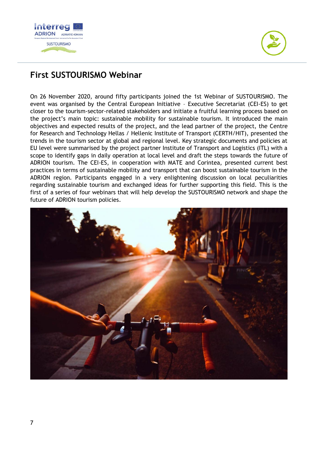



## <span id="page-6-0"></span>**First SUSTOURISMO Webinar**

On 26 November 2020, around fifty participants joined the 1st Webinar of SUSTOURISMO. The event was organised by the Central European Initiative – Executive Secretariat (CEI-ES) to get closer to the tourism-sector-related stakeholders and initiate a fruitful learning process based on the project's main topic: sustainable mobility for sustainable tourism. It introduced the main objectives and expected results of the project, and the lead partner of the project, the Centre for Research and Technology Hellas / Hellenic Institute of Transport (CERTH/HIT), presented the trends in the tourism sector at global and regional level. Key strategic documents and policies at EU level were summarised by the project partner Institute of Transport and Logistics (ITL) with a scope to identify gaps in daily operation at local level and draft the steps towards the future of ADRION tourism. The CEI-ES, in cooperation with MATE and Corintea, presented current best practices in terms of sustainable mobility and transport that can boost sustainable tourism in the ADRION region. Participants engaged in a very enlightening discussion on local peculiarities regarding sustainable tourism and exchanged ideas for further supporting this field. This is the first of a series of four webinars that will help develop the SUSTOURISMO network and shape the future of ADRION tourism policies.

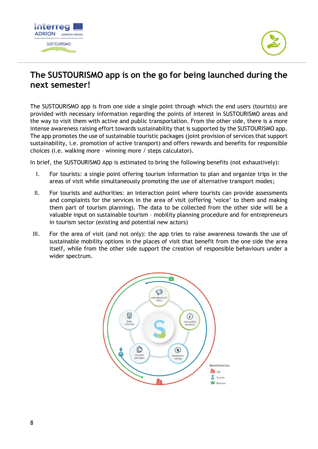



## <span id="page-7-0"></span>**The SUSTOURISMO app is on the go for being launched during the next semester!**

The SUSTOURISMO app is from one side a single point through which the end users (tourists) are provided with necessary information regarding the points of interest in SUSTOURISMO areas and the way to visit them with active and public transportation. From the other side, there is a more intense awareness raising effort towards sustainability that is supported by the SUSTOURISMO app. The app promotes the use of sustainable touristic packages (joint provision of services that support sustainability, i.e. promotion of active transport) and offers rewards and benefits for responsible choices (i.e. walking more – winning more / steps calculator).

In brief, the SUSTOURISMO App is estimated to bring the following benefits (not exhaustively):

- I. For tourists: a single point offering tourism information to plan and organize trips in the areas of visit while simultaneously promoting the use of alternative transport modes;
- II. For tourists and authorities: an interaction point where tourists can provide assessments and complaints for the services in the area of visit (offering 'voice' to them and making them part of tourism planning). The data to be collected from the other side will be a valuable input on sustainable tourism – mobility planning procedure and for entrepreneurs in tourism sector (existing and potential new actors)
- III. For the area of visit (and not only): the app tries to raise awareness towards the use of sustainable mobility options in the places of visit that benefit from the one side the area itself, while from the other side support the creation of responsible behaviours under a wider spectrum.

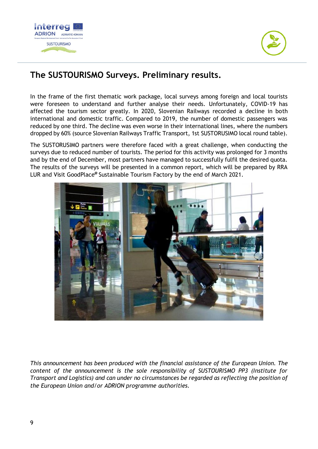



## <span id="page-8-0"></span>**The SUSTOURISMO Surveys. Preliminary results.**

In the frame of the first thematic work package, local surveys among foreign and local tourists were foreseen to understand and further analyse their needs. Unfortunately, COVID-19 has affected the tourism sector greatly. In 2020, Slovenian Railways recorded a decline in both international and domestic traffic. Compared to 2019, the number of domestic passengers was reduced by one third. The decline was even worse in their international lines, where the numbers dropped by 60% (source Slovenian Railways Traffic Transport, 1st SUSTORUSIMO local round table).

The SUSTORUSIMO partners were therefore faced with a great challenge, when conducting the surveys due to reduced number of tourists. The period for this activity was prolonged for 3 months and by the end of December, most partners have managed to successfully fulfil the desired quota. The results of the surveys will be presented in a common report, which will be prepared by RRA LUR and Visit GoodPlace**@** Sustainable Tourism Factory by the end of March 2021.



*This announcement has been produced with the financial assistance of the European Union. The content of the announcement is the sole responsibility of SUSTOURISMO PP3 (Institute for Transport and Logistics) and can under no circumstances be regarded as reflecting the position of the European Union and/or ADRION programme authorities.*